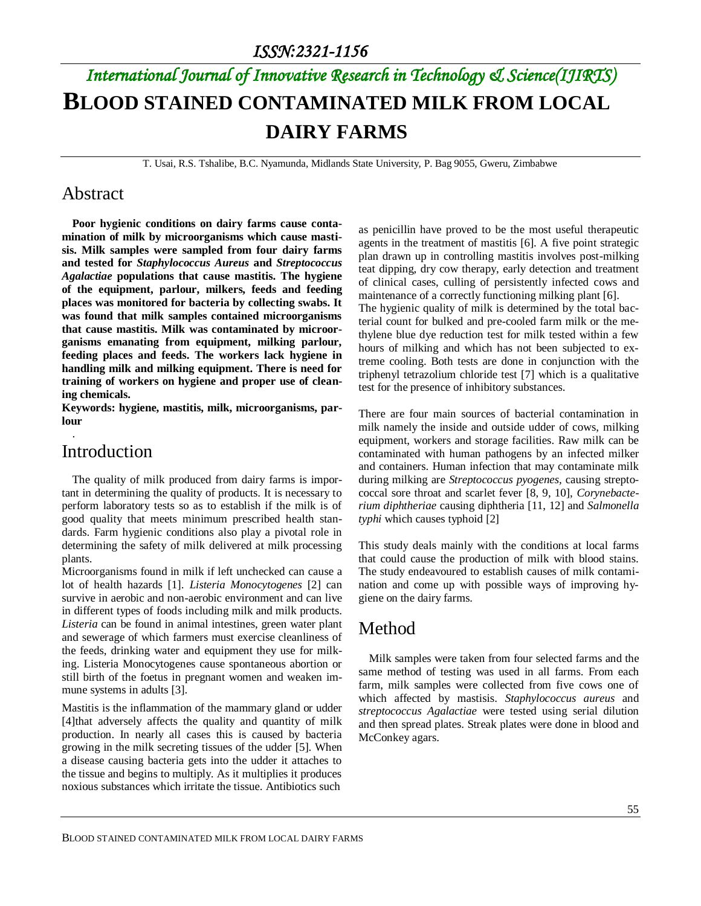# *International Journal of Innovative Research in Technology & Science(IJIRTS)* **BLOOD STAINED CONTAMINATED MILK FROM LOCAL DAIRY FARMS**

T. Usai, R.S. Tshalibe, B.C. Nyamunda, Midlands State University, P. Bag 9055, Gweru, Zimbabwe

#### Abstract

**Poor hygienic conditions on dairy farms cause contamination of milk by microorganisms which cause mastisis. Milk samples were sampled from four dairy farms and tested for** *Staphylococcus Aureus* **and** *Streptococcus Agalactiae* **populations that cause mastitis. The hygiene of the equipment, parlour, milkers, feeds and feeding places was monitored for bacteria by collecting swabs. It was found that milk samples contained microorganisms that cause mastitis. Milk was contaminated by microorganisms emanating from equipment, milking parlour, feeding places and feeds. The workers lack hygiene in handling milk and milking equipment. There is need for training of workers on hygiene and proper use of cleaning chemicals.**

**Keywords: hygiene, mastitis, milk, microorganisms, parlour**

### Introduction

.

The quality of milk produced from dairy farms is important in determining the quality of products. It is necessary to perform laboratory tests so as to establish if the milk is of good quality that meets minimum prescribed health standards. Farm hygienic conditions also play a pivotal role in determining the safety of milk delivered at milk processing plants.

Microorganisms found in milk if left unchecked can cause a lot of health hazards [1]. *Listeria Monocytogenes* [2] can survive in aerobic and non-aerobic environment and can live in different types of foods including milk and milk products. *Listeria* can be found in animal intestines, green water plant and sewerage of which farmers must exercise cleanliness of the feeds, drinking water and equipment they use for milking. Listeria Monocytogenes cause spontaneous abortion or still birth of the foetus in pregnant women and weaken immune systems in adults [3].

Mastitis is the inflammation of the mammary gland or udder [4]that adversely affects the quality and quantity of milk production. In nearly all cases this is caused by bacteria growing in the milk secreting tissues of the udder [5]. When a disease causing bacteria gets into the udder it attaches to the tissue and begins to multiply. As it multiplies it produces noxious substances which irritate the tissue. Antibiotics such

as penicillin have proved to be the most useful therapeutic agents in the treatment of mastitis [6]. A five point strategic plan drawn up in controlling mastitis involves post-milking teat dipping, dry cow therapy, early detection and treatment of clinical cases, culling of persistently infected cows and maintenance of a correctly functioning milking plant [6].

The hygienic quality of milk is determined by the total bacterial count for bulked and pre-cooled farm milk or the methylene blue dye reduction test for milk tested within a few hours of milking and which has not been subjected to extreme cooling. Both tests are done in conjunction with the triphenyl tetrazolium chloride test [7] which is a qualitative test for the presence of inhibitory substances.

There are four main sources of bacterial contamination in milk namely the inside and outside udder of cows, milking equipment, workers and storage facilities. Raw milk can be contaminated with human pathogens by an infected milker and containers. Human infection that may contaminate milk during milking are *Streptococcus pyogenes,* causing streptococcal sore throat and scarlet fever [8, 9, 10], *Corynebacterium diphtheriae* causing diphtheria [11, 12] and *Salmonella typhi* which causes typhoid [2]

This study deals mainly with the conditions at local farms that could cause the production of milk with blood stains. The study endeavoured to establish causes of milk contamination and come up with possible ways of improving hygiene on the dairy farms.

### Method

Milk samples were taken from four selected farms and the same method of testing was used in all farms. From each farm, milk samples were collected from five cows one of which affected by mastisis. *Staphylococcus aureus* and *streptococcus Agalactiae* were tested using serial dilution and then spread plates. Streak plates were done in blood and McConkey agars.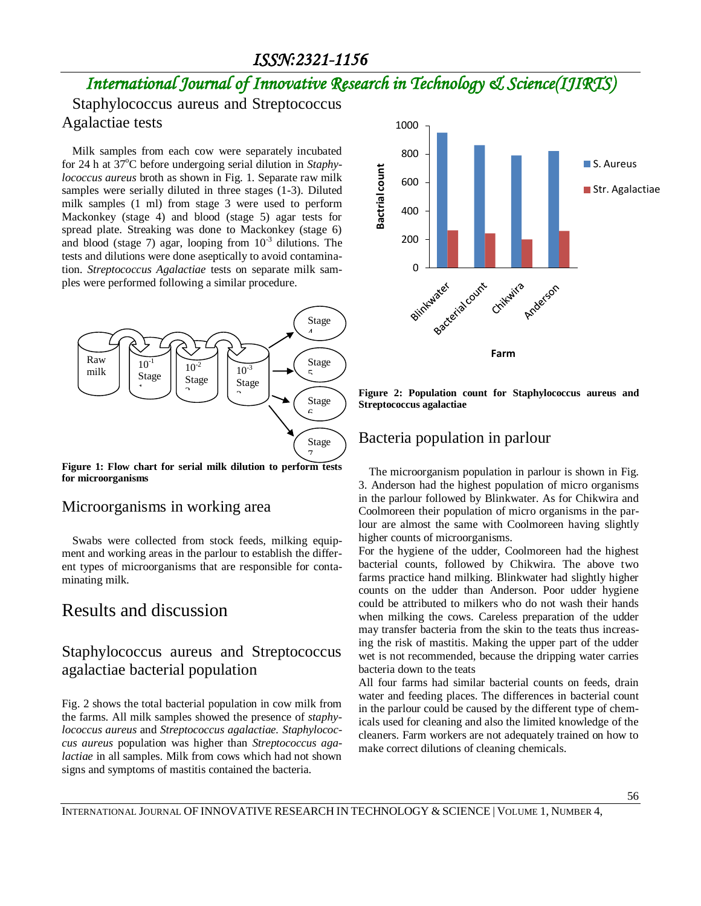## *International Journal of Innovative Research in Technology & Science(IJIRTS)*

Staphylococcus aureus and Streptococcus Agalactiae tests

Milk samples from each cow were separately incubated for 24 h at 37<sup>o</sup>C before undergoing serial dilution in *Staphylococcus aureus* broth as shown in Fig. 1. Separate raw milk samples were serially diluted in three stages (1-3). Diluted milk samples (1 ml) from stage 3 were used to perform Mackonkey (stage 4) and blood (stage 5) agar tests for spread plate. Streaking was done to Mackonkey (stage 6) and blood (stage 7) agar, looping from  $10^{-3}$  dilutions. The tests and dilutions were done aseptically to avoid contamination. *Streptococcus Agalactiae* tests on separate milk samples were performed following a similar procedure.



**Figure 1: Flow chart for serial milk dilution to perform tests for microorganisms**

#### Microorganisms in working area

Swabs were collected from stock feeds, milking equipment and working areas in the parlour to establish the different types of microorganisms that are responsible for contaminating milk.

### Results and discussion

### Staphylococcus aureus and Streptococcus agalactiae bacterial population

Fig. 2 shows the total bacterial population in cow milk from the farms. All milk samples showed the presence of *staphylococcus aureus* and *Streptococcus agalactiae. Staphylococcus aureus* population was higher than *Streptococcus agalactiae* in all samples. Milk from cows which had not shown signs and symptoms of mastitis contained the bacteria.



**Figure 2: Population count for Staphylococcus aureus and Streptococcus agalactiae**

#### Bacteria population in parlour

The microorganism population in parlour is shown in Fig. 3. Anderson had the highest population of micro organisms in the parlour followed by Blinkwater. As for Chikwira and Coolmoreen their population of micro organisms in the parlour are almost the same with Coolmoreen having slightly higher counts of microorganisms.

For the hygiene of the udder, Coolmoreen had the highest bacterial counts, followed by Chikwira. The above two farms practice hand milking. Blinkwater had slightly higher counts on the udder than Anderson. Poor udder hygiene could be attributed to milkers who do not wash their hands when milking the cows. Careless preparation of the udder may transfer bacteria from the skin to the teats thus increasing the risk of mastitis. Making the upper part of the udder wet is not recommended, because the dripping water carries bacteria down to the teats

All four farms had similar bacterial counts on feeds, drain water and feeding places. The differences in bacterial count in the parlour could be caused by the different type of chemicals used for cleaning and also the limited knowledge of the cleaners. Farm workers are not adequately trained on how to make correct dilutions of cleaning chemicals.

INTERNATIONAL JOURNAL OF INNOVATIVE RESEARCH IN TECHNOLOGY & SCIENCE | VOLUME 1, NUMBER 4,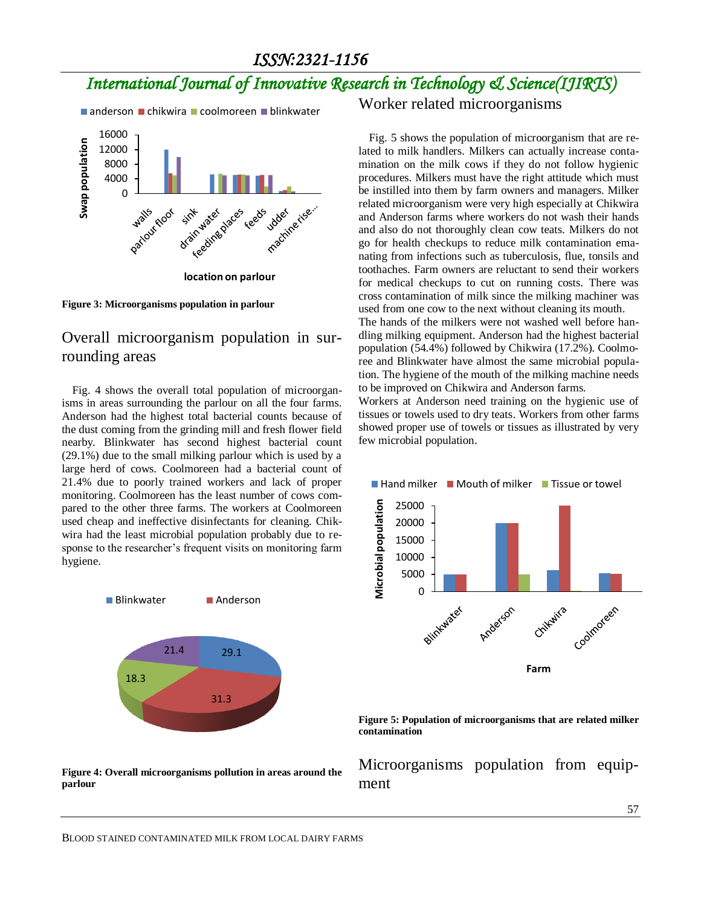## *International Journal of Innovative Research in Technology & Science(IJIRTS)*

 $\blacksquare$  anderson  $\blacksquare$  chikwira  $\blacksquare$  coolmoreen  $\blacksquare$  blinkwater



**Figure 3: Microorganisms population in parlour**

#### Overall microorganism population in surrounding areas

Fig. 4 shows the overall total population of microorganisms in areas surrounding the parlour on all the four farms. Anderson had the highest total bacterial counts because of the dust coming from the grinding mill and fresh flower field nearby. Blinkwater has second highest bacterial count (29.1%) due to the small milking parlour which is used by a large herd of cows. Coolmoreen had a bacterial count of 21.4% due to poorly trained workers and lack of proper monitoring. Coolmoreen has the least number of cows compared to the other three farms. The workers at Coolmoreen used cheap and ineffective disinfectants for cleaning. Chikwira had the least microbial population probably due to response to the researcher's frequent visits on monitoring farm hygiene.



**Figure 4: Overall microorganisms pollution in areas around the parlour**

Worker related microorganisms

Fig. 5 shows the population of microorganism that are related to milk handlers. Milkers can actually increase contamination on the milk cows if they do not follow hygienic procedures. Milkers must have the right attitude which must be instilled into them by farm owners and managers. Milker related microorganism were very high especially at Chikwira and Anderson farms where workers do not wash their hands and also do not thoroughly clean cow teats. Milkers do not go for health checkups to reduce milk contamination emanating from infections such as tuberculosis, flue, tonsils and toothaches. Farm owners are reluctant to send their workers for medical checkups to cut on running costs. There was cross contamination of milk since the milking machiner was used from one cow to the next without cleaning its mouth.

The hands of the milkers were not washed well before handling milking equipment. Anderson had the highest bacterial population (54.4%) followed by Chikwira (17.2%). Coolmoree and Blinkwater have almost the same microbial population. The hygiene of the mouth of the milking machine needs to be improved on Chikwira and Anderson farms.

Workers at Anderson need training on the hygienic use of tissues or towels used to dry teats. Workers from other farms showed proper use of towels or tissues as illustrated by very few microbial population.





Microorganisms population from equipment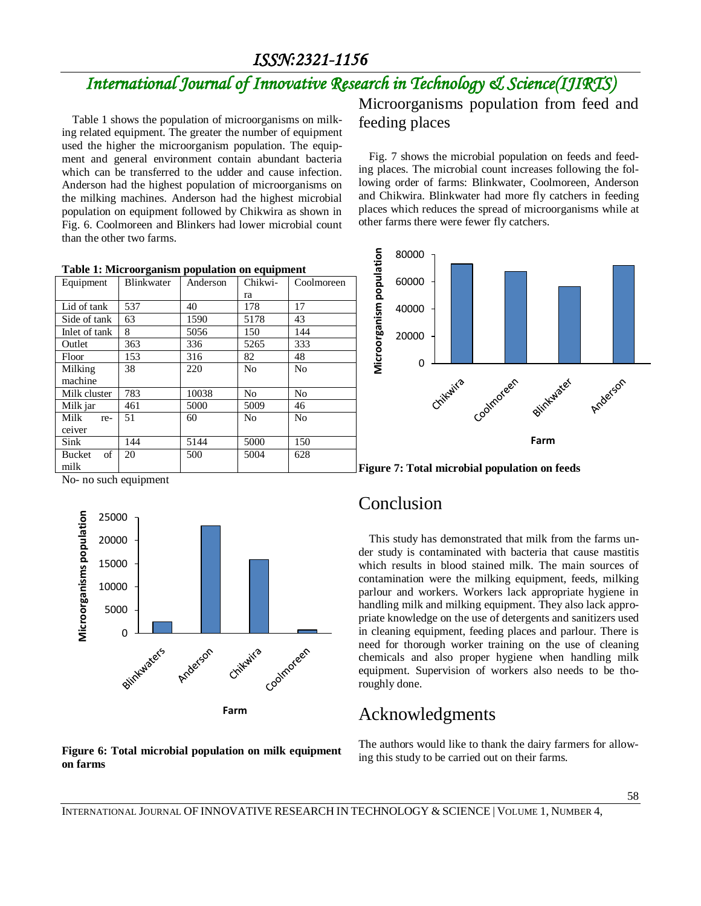Coolmoreen

## *International Journal of Innovative Research in Technology & Science(IJIRTS)*

Table 1 shows the population of microorganisms on milking related equipment. The greater the number of equipment used the higher the microorganism population. The equipment and general environment contain abundant bacteria which can be transferred to the udder and cause infection. Anderson had the highest population of microorganisms on the milking machines. Anderson had the highest microbial population on equipment followed by Chikwira as shown in Fig. 6. Coolmoreen and Blinkers had lower microbial count than the other two farms.

| Microorganisms population from feed and |  |  |
|-----------------------------------------|--|--|
| feeding places                          |  |  |

Fig. 7 shows the microbial population on feeds and feeding places. The microbial count increases following the following order of farms: Blinkwater, Coolmoreen, Anderson and Chikwira. Blinkwater had more fly catchers in feeding places which reduces the spread of microorganisms while at other farms there were fewer fly catchers.



**Figure 7: Total microbial population on feeds**

### Conclusion

This study has demonstrated that milk from the farms under study is contaminated with bacteria that cause mastitis which results in blood stained milk. The main sources of contamination were the milking equipment, feeds, milking parlour and workers. Workers lack appropriate hygiene in handling milk and milking equipment. They also lack appropriate knowledge on the use of detergents and sanitizers used in cleaning equipment, feeding places and parlour. There is need for thorough worker training on the use of cleaning chemicals and also proper hygiene when handling milk equipment. Supervision of workers also needs to be thoroughly done.

## Acknowledgments

The authors would like to thank the dairy farmers for allowing this study to be carried out on their farms.

|  |               |     |       | ra   |     |
|--|---------------|-----|-------|------|-----|
|  | Lid of tank   | 537 | 40    | 178  | 17  |
|  | Side of tank  | 63  | 1590  | 5178 | 43  |
|  | Inlet of tank | 8   | 5056  | 150  | 144 |
|  | Outlet        | 363 | 336   | 5265 | 333 |
|  | Floor         | 153 | 316   | 82   | 48  |
|  | Milking       | 38  | 220   | No   | No  |
|  | machine       |     |       |      |     |
|  | Milk cluster  | 783 | 10038 | No   | No  |

51 60 No No

20 500 5004 628

**Table 1: Microorganism population on equipment** Equipment | Blinkwater | Anderson | Chikwi-

Milk jar 461 5000 5009 46

Sink | 144 | 5144 | 5000 | 150

No- no such equipment

Milk receiver

Bucket of milk



**Figure 6: Total microbial population on milk equipment on farms**

INTERNATIONAL JOURNAL OF INNOVATIVE RESEARCH IN TECHNOLOGY & SCIENCE | VOLUME 1, NUMBER 4,